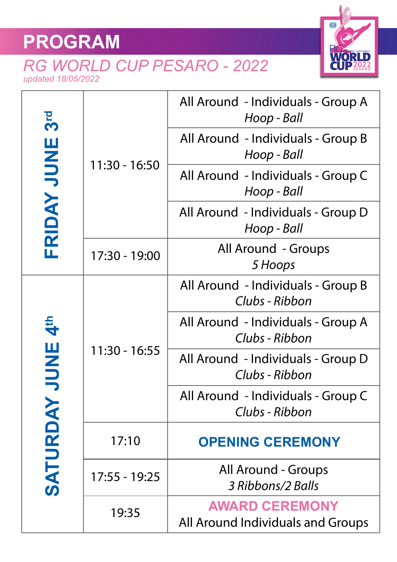## **PROGRAM**

## *RG WORLD CUP PESARO - 2022 updated 18/05/2022*



| 3 <sub>rd</sub><br>FRIDAY JUNE | $11:30 - 16:50$ | All Around - Individuals - Group A<br>Hoop - Ball          |
|--------------------------------|-----------------|------------------------------------------------------------|
|                                |                 | All Around - Individuals - Group B<br>Hoop - Ball          |
|                                |                 | All Around - Individuals - Group C<br>Hoop - Ball          |
|                                |                 | All Around - Individuals - Group D<br>Hoop - Ball          |
|                                | 17:30 - 19:00   | <b>All Around - Groups</b><br>5 Hoops                      |
| <b>Ath ANDI</b><br>SATURDAY    | $11:30 - 16:55$ | All Around - Individuals - Group B<br>Clubs - Ribbon       |
|                                |                 | All Around - Individuals - Group A<br>Clubs - Ribbon       |
|                                |                 | All Around - Individuals - Group D<br>Clubs - Ribbon       |
|                                |                 | All Around - Individuals - Group C<br>Clubs - Ribbon       |
|                                | 17:10           | <b>OPENING CEREMONY</b>                                    |
|                                | 17:55 - 19:25   | All Around - Groups<br>3 Ribbons/2 Balls                   |
|                                | 19:35           | <b>AWARD CEREMONY</b><br>All Around Individuals and Groups |